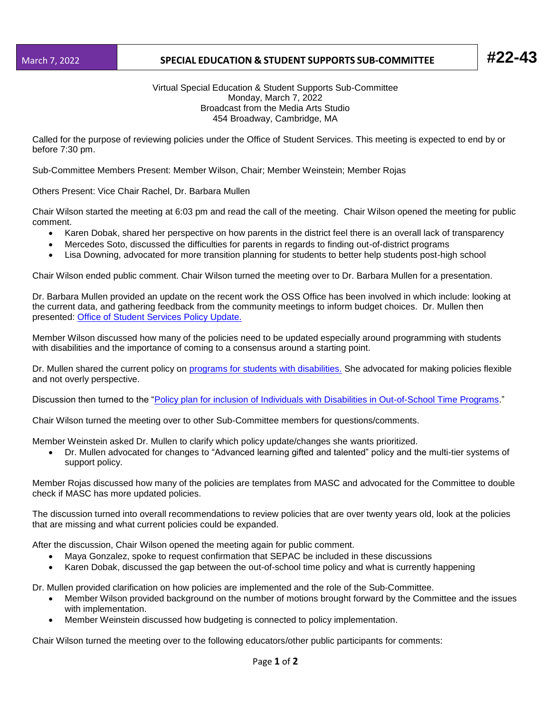## March 7, 2022 **SPECIAL EDUCATION & STUDENT SUPPORTS SUB-COMMITTEE #22-43**

## Virtual Special Education & Student Supports Sub-Committee Monday, March 7, 2022 Broadcast from the Media Arts Studio 454 Broadway, Cambridge, MA

Called for the purpose of reviewing policies under the Office of Student Services. This meeting is expected to end by or before 7:30 pm.

Sub-Committee Members Present: Member Wilson, Chair; Member Weinstein; Member Rojas

Others Present: Vice Chair Rachel, Dr. Barbara Mullen

Chair Wilson started the meeting at 6:03 pm and read the call of the meeting. Chair Wilson opened the meeting for public comment.

- Karen Dobak, shared her perspective on how parents in the district feel there is an overall lack of transparency
- Mercedes Soto, discussed the difficulties for parents in regards to finding out-of-district programs
- Lisa Downing, advocated for more transition planning for students to better help students post-high school

Chair Wilson ended public comment. Chair Wilson turned the meeting over to Dr. Barbara Mullen for a presentation.

Dr. Barbara Mullen provided an update on the recent work the OSS Office has been involved in which include: looking at the current data, and gathering feedback from the community meetings to inform budget choices. Dr. Mullen then presented: [Office of Student Services Policy Update.](https://docs.google.com/presentation/d/1lIw0FTVoRIlTw-5_T29FCEkC4XQ68DO94yCkEfpHmBE/edit#slide=id.gf58a30816d_0_129)

Member Wilson discussed how many of the policies need to be updated especially around programming with students with disabilities and the importance of coming to a consensus around a starting point.

Dr. Mullen shared the current policy on [programs for students with disabilities.](https://z2policy.ctspublish.com/masc/browse/cambridgeset/cambridge/IHBA) She advocated for making policies flexible and not overly perspective.

Discussion then turned to the ["Policy plan for inclusion of Individuals with Disabilities in Out-of-School Time Programs.](https://z2policy.ctspublish.com/masc/browse/cambridgeset/cambridge/EJ)"

Chair Wilson turned the meeting over to other Sub-Committee members for questions/comments.

Member Weinstein asked Dr. Mullen to clarify which policy update/changes she wants prioritized.

• Dr. Mullen advocated for changes to "Advanced learning gifted and talented" policy and the multi-tier systems of support policy.

Member Rojas discussed how many of the policies are templates from MASC and advocated for the Committee to double check if MASC has more updated policies.

The discussion turned into overall recommendations to review policies that are over twenty years old, look at the policies that are missing and what current policies could be expanded.

After the discussion, Chair Wilson opened the meeting again for public comment.

- Maya Gonzalez, spoke to request confirmation that SEPAC be included in these discussions
- Karen Dobak, discussed the gap between the out-of-school time policy and what is currently happening

Dr. Mullen provided clarification on how policies are implemented and the role of the Sub-Committee.

- Member Wilson provided background on the number of motions brought forward by the Committee and the issues with implementation.
- Member Weinstein discussed how budgeting is connected to policy implementation.

Chair Wilson turned the meeting over to the following educators/other public participants for comments: